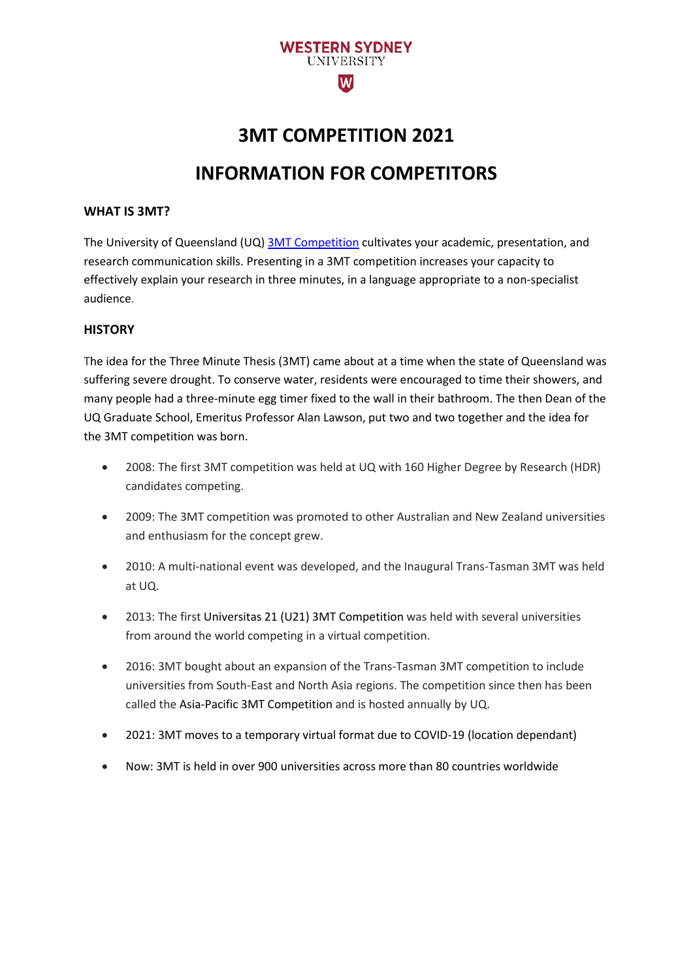

# **3MT COMPETITION 2021 INFORMATION FOR COMPETITORS**

#### **WHAT IS 3MT?**

[The University of Queensland \(UQ\)](http://www.uq.edu.au/) [3MT Competition](https://threeminutethesis.uq.edu.au/) cultivates your academic, presentation, and research communication skills. Presenting in a 3MT competition increases your capacity to effectively explain your research in three minutes, in a language appropriate to a non-specialist audience.

#### **HISTORY**

The idea for the Three Minute Thesis (3MT) came about at a time when the state of Queensland was suffering severe drought. To conserve water, residents were encouraged to time their showers, and many people had a three-minute egg timer fixed to the wall in their bathroom. The then Dean of the UQ Graduate School, Emeritus Professor Alan Lawson, put two and two together and the idea for the 3MT competition was born.

- 2008: The first 3MT competition was held at UQ with 160 Higher Degree by Research (HDR) candidates competing.
- 2009: The 3MT competition was promoted to other Australian and New Zealand universities and enthusiasm for the concept grew.
- 2010: A multi-national event was developed, and the Inaugural Trans-Tasman 3MT was held at UQ.
- 2013: The first Universitas 21 (U21) 3MT Competition was held with several universities from around the world competing in a virtual competition.
- 2016: 3MT bought about an expansion of the Trans-Tasman 3MT competition to include universities from South-East and North Asia regions. The competition since then has been called the Asia-Pacific 3MT Competition and is hosted annually by UQ.
- 2021: 3MT moves to a temporary virtual format due to COVID-19 (location dependant)
- Now: 3MT is held in over 900 universities across more than 80 countries worldwide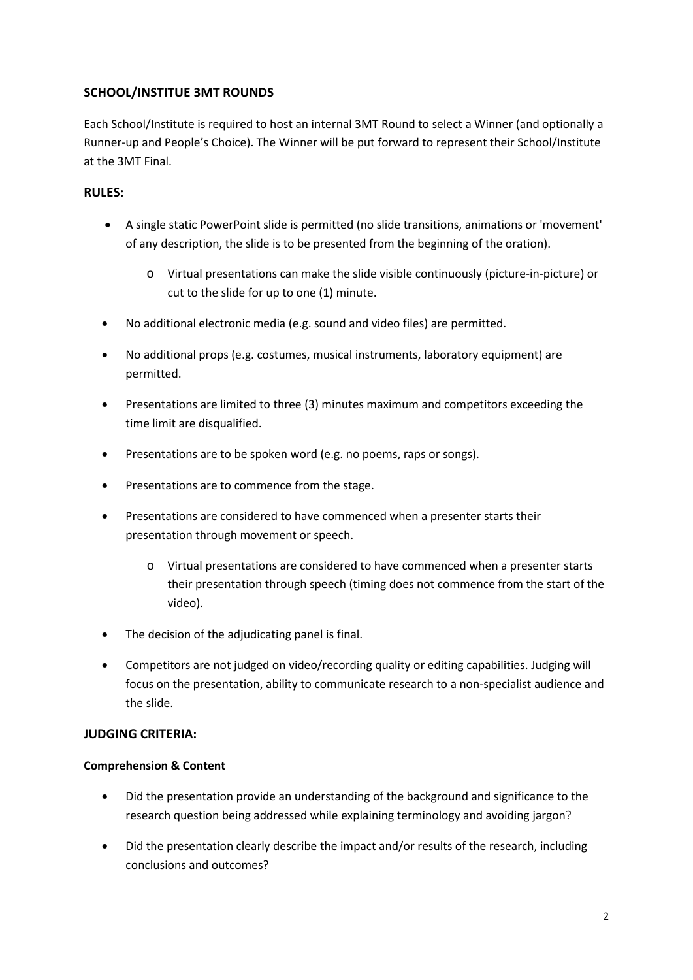## **SCHOOL/INSTITUE 3MT ROUNDS**

Each School/Institute is required to host an internal 3MT Round to select a Winner (and optionally a Runner-up and People's Choice). The Winner will be put forward to represent their School/Institute at the 3MT Final.

### **RULES:**

- A single static PowerPoint slide is permitted (no slide transitions, animations or 'movement' of any description, the slide is to be presented from the beginning of the oration).
	- o Virtual presentations can make the slide visible continuously (picture-in-picture) or cut to the slide for up to one (1) minute.
- No additional electronic media (e.g. sound and video files) are permitted.
- No additional props (e.g. costumes, musical instruments, laboratory equipment) are permitted.
- Presentations are limited to three (3) minutes maximum and competitors exceeding the time limit are disqualified.
- Presentations are to be spoken word (e.g. no poems, raps or songs).
- Presentations are to commence from the stage.
- Presentations are considered to have commenced when a presenter starts their presentation through movement or speech.
	- o Virtual presentations are considered to have commenced when a presenter starts their presentation through speech (timing does not commence from the start of the video).
- The decision of the adjudicating panel is final.
- Competitors are not judged on video/recording quality or editing capabilities. Judging will focus on the presentation, ability to communicate research to a non-specialist audience and the slide.

#### **JUDGING CRITERIA:**

#### **Comprehension & Content**

- Did the presentation provide an understanding of the background and significance to the research question being addressed while explaining terminology and avoiding jargon?
- Did the presentation clearly describe the impact and/or results of the research, including conclusions and outcomes?